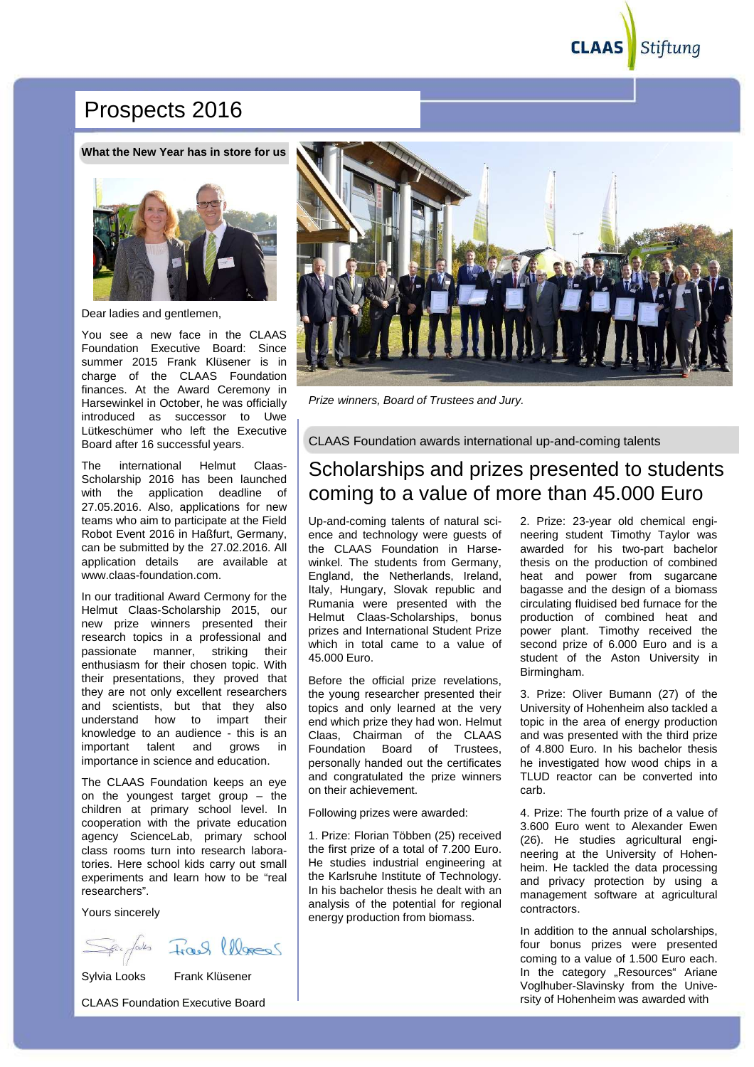Stiftung **CLAAS** 

## Prospects 2016

**What the New Year has in store for us**



Dear ladies and gentlemen,

You see a new face in the CLAAS Foundation Executive Board: Since summer 2015 Frank Klüsener is in charge of the CLAAS Foundation finances. At the Award Ceremony in Harsewinkel in October, he was officially introduced as successor to Uwe Lütkeschümer who left the Executive Board after 16 successful years.

The international Helmut Claas-Scholarship 2016 has been launched with the application deadline of 27.05.2016. Also, applications for new teams who aim to participate at the Field Robot Event 2016 in Haßfurt, Germany, can be submitted by the 27.02.2016. All application details are available at www.claas-foundation.com.

In our traditional Award Cermony for the Helmut Claas-Scholarship 2015, our new prize winners presented their research topics in a professional and passionate manner, striking their enthusiasm for their chosen topic. With their presentations, they proved that they are not only excellent researchers and scientists, but that they also understand how to impart their knowledge to an audience - this is an important talent and grows in importance in science and education.

The CLAAS Foundation keeps an eye on the youngest target group – the children at primary school level. In cooperation with the private education agency ScienceLab, primary school class rooms turn into research laboratories. Here school kids carry out small experiments and learn how to be "real researchers".

Yours sincerely

Frank lleves



Sylvia Looks Frank Klüsener

CLAAS Foundation Executive Board



Prize winners, Board of Trustees and Jury.

CLAAS Foundation awards international up-and-coming talents

## Scholarships and prizes presented to students coming to a value of more than 45.000 Euro

Up-and-coming talents of natural science and technology were guests of the CLAAS Foundation in Harsewinkel. The students from Germany, England, the Netherlands, Ireland, Italy, Hungary, Slovak republic and Rumania were presented with the Helmut Claas-Scholarships, bonus prizes and International Student Prize which in total came to a value of 45.000 Euro.

Before the official prize revelations, the young researcher presented their topics and only learned at the very end which prize they had won. Helmut Claas, Chairman of the CLAAS Foundation Board of Trustees, personally handed out the certificates and congratulated the prize winners on their achievement.

Following prizes were awarded:

1. Prize: Florian Többen (25) received the first prize of a total of 7.200 Euro. He studies industrial engineering at the Karlsruhe Institute of Technology. In his bachelor thesis he dealt with an analysis of the potential for regional energy production from biomass.

2. Prize: 23-year old chemical engineering student Timothy Taylor was awarded for his two-part bachelor thesis on the production of combined heat and power from sugarcane bagasse and the design of a biomass circulating fluidised bed furnace for the production of combined heat and power plant. Timothy received the second prize of 6.000 Euro and is a student of the Aston University in Birmingham.

3. Prize: Oliver Bumann (27) of the University of Hohenheim also tackled a topic in the area of energy production and was presented with the third prize of 4.800 Euro. In his bachelor thesis he investigated how wood chips in a TLUD reactor can be converted into carb.

4. Prize: The fourth prize of a value of 3.600 Euro went to Alexander Ewen (26). He studies agricultural engineering at the University of Hohenheim. He tackled the data processing and privacy protection by using a management software at agricultural contractors.

In addition to the annual scholarships, four bonus prizes were presented coming to a value of 1.500 Euro each. In the category "Resources" Ariane Voglhuber-Slavinsky from the University of Hohenheim was awarded with